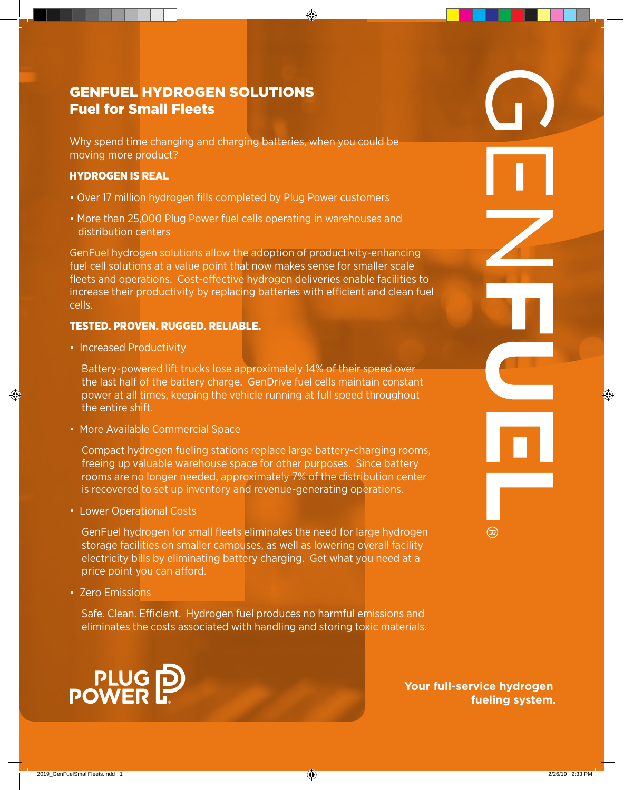# genfuel Hydrogen solutions Fuel for Small Fleets

Why spend time changing and charging batteries, when you could be moving more product?

## Hydrogen is Real

- Over 17 million hydrogen fills completed by Plug Power customers
- More than 25,000 Plug Power fuel cells operating in warehouses and distribution centers

GenFuel hydrogen solutions allow the adoption of productivity-enhancing fuel cell solutions at a value point that now makes sense for smaller scale fleets and operations. Cost-effective hydrogen deliveries enable facilities to increase their productivity by replacing batteries with efficient and clean fuel cells.

## Tested. Proven. Rugged. Reliable.

• Increased Productivity

Battery-powered lift trucks lose approximately 14% of their speed over the last half of the battery charge. GenDrive fuel cells maintain constant power at all times, keeping the vehicle running at full speed throughout the entire shift.

• More Available Commercial Space

Compact hydrogen fueling stations replace large battery-charging rooms, freeing up valuable warehouse space for other purposes. Since battery rooms are no longer needed, approximately 7% of the distribution center is recovered to set up inventory and revenue-generating operations.

• Lower Operational Costs

GenFuel hydrogen for small fleets eliminates the need for large hydrogen storage facilities on smaller campuses, as well as lowering overall facility electricity bills by eliminating battery charging. Get what you need at a price point you can afford.

• Zero Emissions

Safe. Clean. Efficient. Hydrogen fuel produces no harmful emissions and eliminates the costs associated with handling and storing toxic materials.



**Your full-service hydrogen fueling system.**